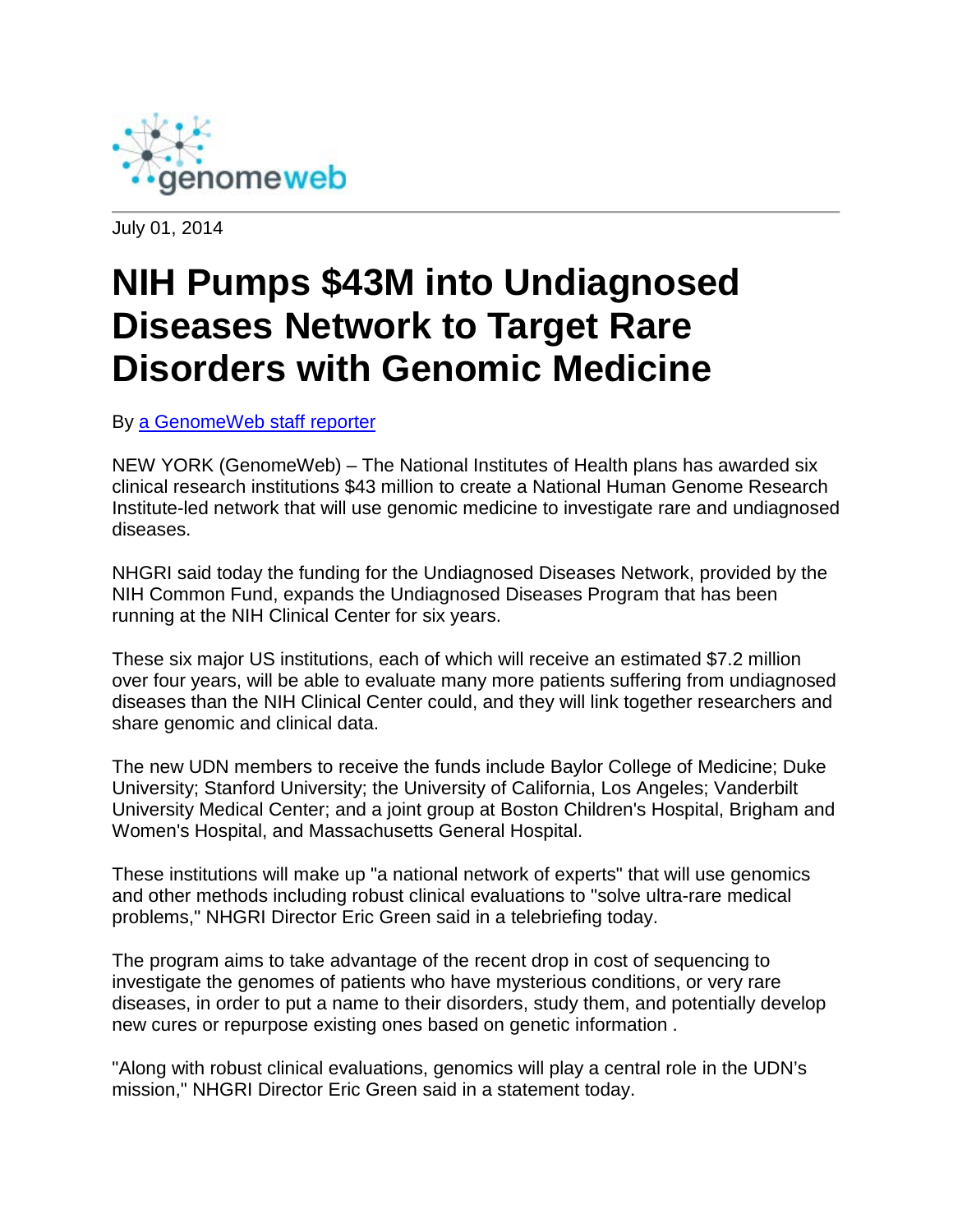

July 01, 2014

## **NIH Pumps \$43M into Undiagnosed Diseases Network to Target Rare Disorders with Genomic Medicine**

By [a GenomeWeb staff reporter](mailto:dailynews@genomeweb.com)

NEW YORK (GenomeWeb) – The National Institutes of Health plans has awarded six clinical research institutions \$43 million to create a National Human Genome Research Institute-led network that will use genomic medicine to investigate rare and undiagnosed diseases.

NHGRI said today the funding for the Undiagnosed Diseases Network, provided by the NIH Common Fund, expands the Undiagnosed Diseases Program that has been running at the NIH Clinical Center for six years.

These six major US institutions, each of which will receive an estimated \$7.2 million over four years, will be able to evaluate many more patients suffering from undiagnosed diseases than the NIH Clinical Center could, and they will link together researchers and share genomic and clinical data.

The new UDN members to receive the funds include Baylor College of Medicine; Duke University; Stanford University; the University of California, Los Angeles; Vanderbilt University Medical Center; and a joint group at Boston Children's Hospital, Brigham and Women's Hospital, and Massachusetts General Hospital.

These institutions will make up "a national network of experts" that will use genomics and other methods including robust clinical evaluations to "solve ultra-rare medical problems," NHGRI Director Eric Green said in a telebriefing today.

The program aims to take advantage of the recent drop in cost of sequencing to investigate the genomes of patients who have mysterious conditions, or very rare diseases, in order to put a name to their disorders, study them, and potentially develop new cures or repurpose existing ones based on genetic information .

"Along with robust clinical evaluations, genomics will play a central role in the UDN's mission," NHGRI Director Eric Green said in a statement today.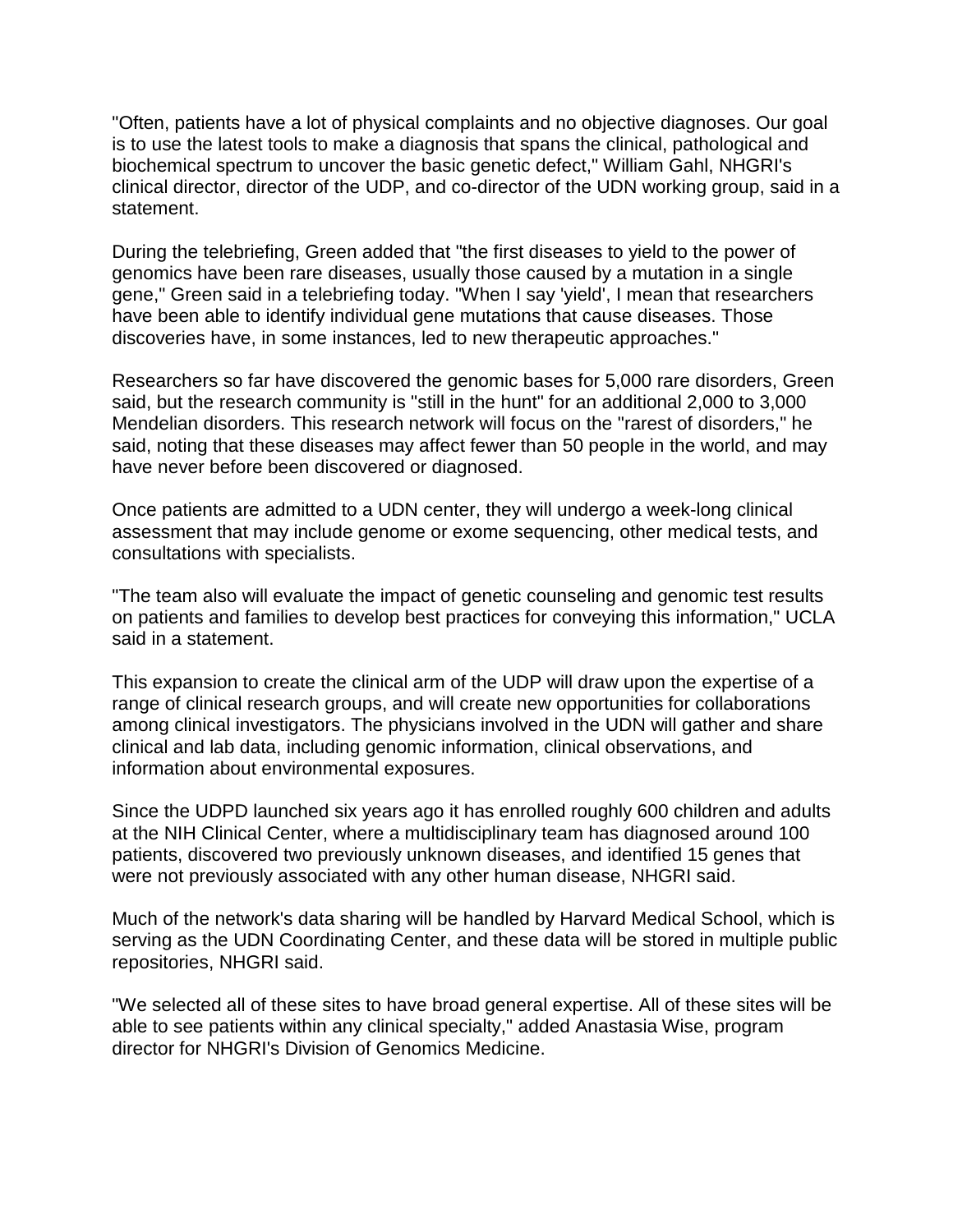"Often, patients have a lot of physical complaints and no objective diagnoses. Our goal is to use the latest tools to make a diagnosis that spans the clinical, pathological and biochemical spectrum to uncover the basic genetic defect," William Gahl, NHGRI's clinical director, director of the UDP, and co-director of the UDN working group, said in a statement.

During the telebriefing, Green added that "the first diseases to yield to the power of genomics have been rare diseases, usually those caused by a mutation in a single gene," Green said in a telebriefing today. "When I say 'yield', I mean that researchers have been able to identify individual gene mutations that cause diseases. Those discoveries have, in some instances, led to new therapeutic approaches."

Researchers so far have discovered the genomic bases for 5,000 rare disorders, Green said, but the research community is "still in the hunt" for an additional 2,000 to 3,000 Mendelian disorders. This research network will focus on the "rarest of disorders," he said, noting that these diseases may affect fewer than 50 people in the world, and may have never before been discovered or diagnosed.

Once patients are admitted to a UDN center, they will undergo a week-long clinical assessment that may include genome or exome sequencing, other medical tests, and consultations with specialists.

"The team also will evaluate the impact of genetic counseling and genomic test results on patients and families to develop best practices for conveying this information," UCLA said in a statement.

This expansion to create the clinical arm of the UDP will draw upon the expertise of a range of clinical research groups, and will create new opportunities for collaborations among clinical investigators. The physicians involved in the UDN will gather and share clinical and lab data, including genomic information, clinical observations, and information about environmental exposures.

Since the UDPD launched six years ago it has enrolled roughly 600 children and adults at the NIH Clinical Center, where a multidisciplinary team has diagnosed around 100 patients, discovered two previously unknown diseases, and identified 15 genes that were not previously associated with any other human disease, NHGRI said.

Much of the network's data sharing will be handled by Harvard Medical School, which is serving as the UDN Coordinating Center, and these data will be stored in multiple public repositories, NHGRI said.

"We selected all of these sites to have broad general expertise. All of these sites will be able to see patients within any clinical specialty," added Anastasia Wise, program director for NHGRI's Division of Genomics Medicine.